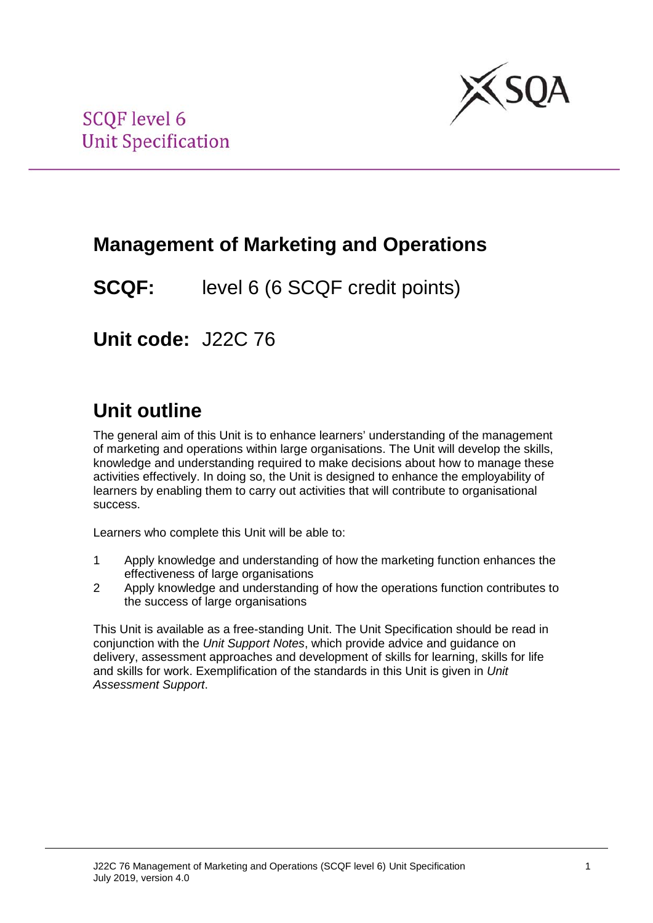

## **Management of Marketing and Operations**

**SCQF:** level 6 (6 SCQF credit points)

**Unit code:** J22C 76

# **Unit outline**

The general aim of this Unit is to enhance learners' understanding of the management of marketing and operations within large organisations. The Unit will develop the skills, knowledge and understanding required to make decisions about how to manage these activities effectively. In doing so, the Unit is designed to enhance the employability of learners by enabling them to carry out activities that will contribute to organisational success.

Learners who complete this Unit will be able to:

- 1 Apply knowledge and understanding of how the marketing function enhances the effectiveness of large organisations
- 2 Apply knowledge and understanding of how the operations function contributes to the success of large organisations

This Unit is available as a free-standing Unit. The Unit Specification should be read in conjunction with the *Unit Support Notes*, which provide advice and guidance on delivery, assessment approaches and development of skills for learning, skills for life and skills for work. Exemplification of the standards in this Unit is given in *Unit Assessment Support*.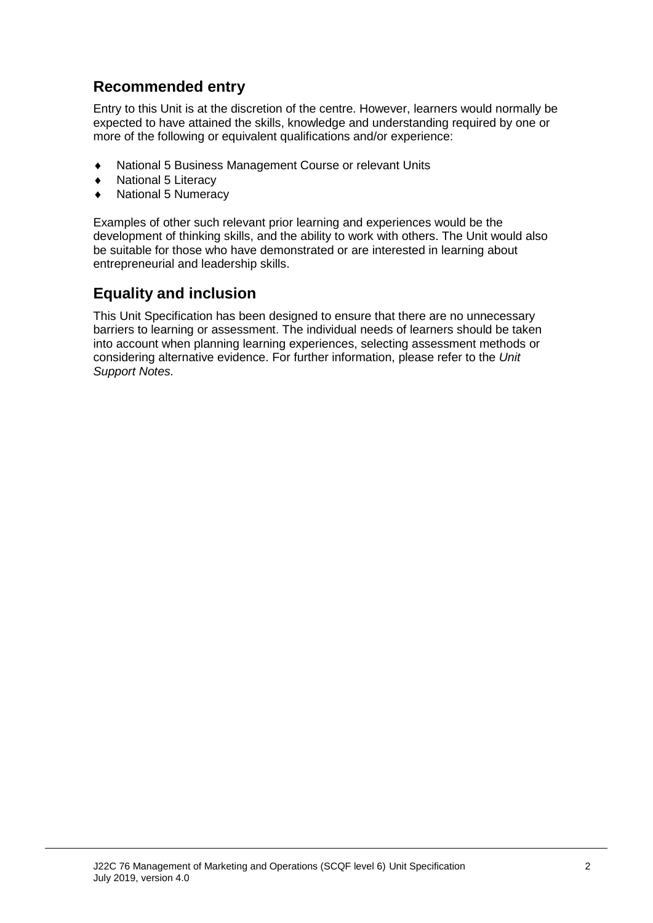### **Recommended entry**

Entry to this Unit is at the discretion of the centre. However, learners would normally be expected to have attained the skills, knowledge and understanding required by one or more of the following or equivalent qualifications and/or experience:

- ♦ National 5 Business Management Course or relevant Units
- ♦ National 5 Literacy
- **National 5 Numeracy**

Examples of other such relevant prior learning and experiences would be the development of thinking skills, and the ability to work with others. The Unit would also be suitable for those who have demonstrated or are interested in learning about entrepreneurial and leadership skills.

### **Equality and inclusion**

This Unit Specification has been designed to ensure that there are no unnecessary barriers to learning or assessment. The individual needs of learners should be taken into account when planning learning experiences, selecting assessment methods or considering alternative evidence. For further information, please refer to the *Unit Support Notes.*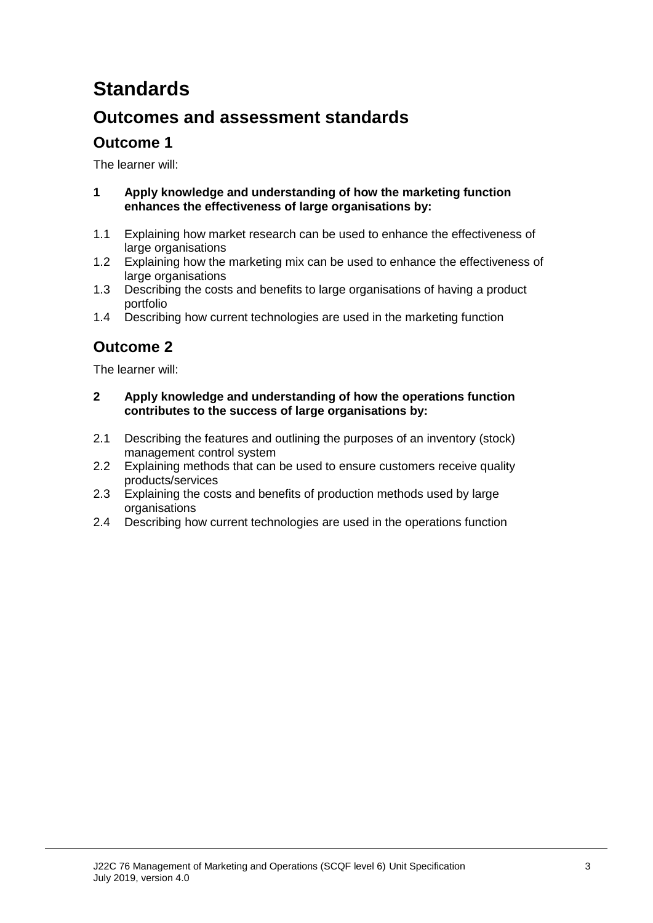# **Standards**

### **Outcomes and assessment standards**

### **Outcome 1**

The learner will:

- **1 Apply knowledge and understanding of how the marketing function enhances the effectiveness of large organisations by:**
- 1.1 Explaining how market research can be used to enhance the effectiveness of large organisations
- 1.2 Explaining how the marketing mix can be used to enhance the effectiveness of large organisations
- 1.3 Describing the costs and benefits to large organisations of having a product portfolio
- 1.4 Describing how current technologies are used in the marketing function

### **Outcome 2**

The learner will:

- **2 Apply knowledge and understanding of how the operations function contributes to the success of large organisations by:**
- 2.1 Describing the features and outlining the purposes of an inventory (stock) management control system
- 2.2 Explaining methods that can be used to ensure customers receive quality products/services
- 2.3 Explaining the costs and benefits of production methods used by large organisations
- 2.4 Describing how current technologies are used in the operations function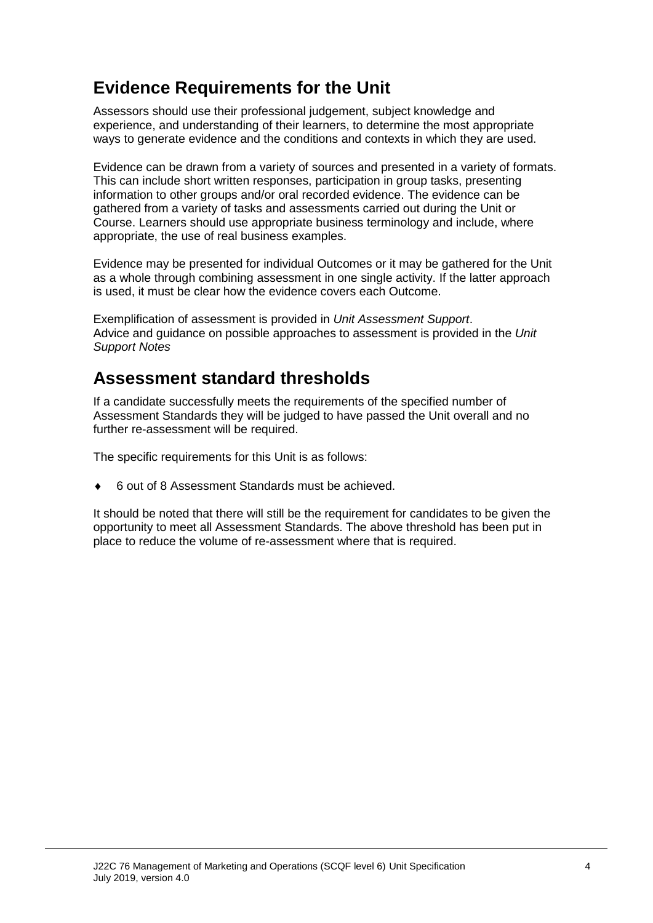## **Evidence Requirements for the Unit**

Assessors should use their professional judgement, subject knowledge and experience, and understanding of their learners, to determine the most appropriate ways to generate evidence and the conditions and contexts in which they are used.

Evidence can be drawn from a variety of sources and presented in a variety of formats. This can include short written responses, participation in group tasks, presenting information to other groups and/or oral recorded evidence. The evidence can be gathered from a variety of tasks and assessments carried out during the Unit or Course. Learners should use appropriate business terminology and include, where appropriate, the use of real business examples.

Evidence may be presented for individual Outcomes or it may be gathered for the Unit as a whole through combining assessment in one single activity. If the latter approach is used, it must be clear how the evidence covers each Outcome.

Exemplification of assessment is provided in *Unit Assessment Support*. Advice and guidance on possible approaches to assessment is provided in the *Unit Support Notes*

### **Assessment standard thresholds**

If a candidate successfully meets the requirements of the specified number of Assessment Standards they will be judged to have passed the Unit overall and no further re-assessment will be required.

The specific requirements for this Unit is as follows:

♦ 6 out of 8 Assessment Standards must be achieved.

It should be noted that there will still be the requirement for candidates to be given the opportunity to meet all Assessment Standards. The above threshold has been put in place to reduce the volume of re-assessment where that is required.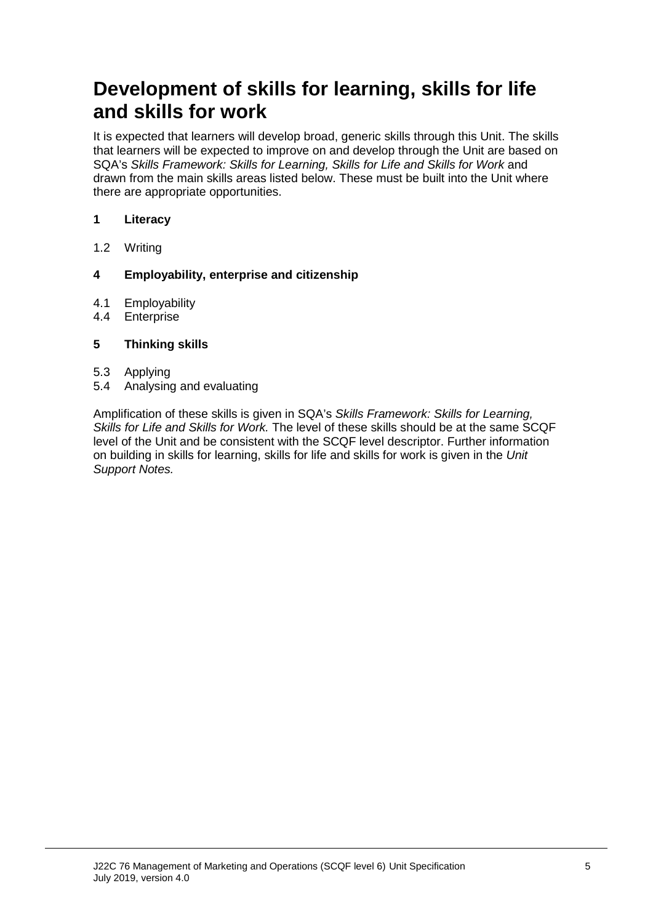## **Development of skills for learning, skills for life and skills for work**

It is expected that learners will develop broad, generic skills through this Unit. The skills that learners will be expected to improve on and develop through the Unit are based on SQA's *Skills Framework: Skills for Learning, Skills for Life and Skills for Work* and drawn from the main skills areas listed below. These must be built into the Unit where there are appropriate opportunities.

#### **1 Literacy**

1.2 Writing

#### **4 Employability, enterprise and citizenship**

- 4.1 Employability<br>4.4 Enterprise
- **Enterprise**

#### **5 Thinking skills**

- 
- 5.3 Applying 5.4 Analysing and evaluating

Amplification of these skills is given in SQA's *Skills Framework: Skills for Learning, Skills for Life and Skills for Work.* The level of these skills should be at the same SCQF level of the Unit and be consistent with the SCQF level descriptor. Further information on building in skills for learning, skills for life and skills for work is given in the *Unit Support Notes.*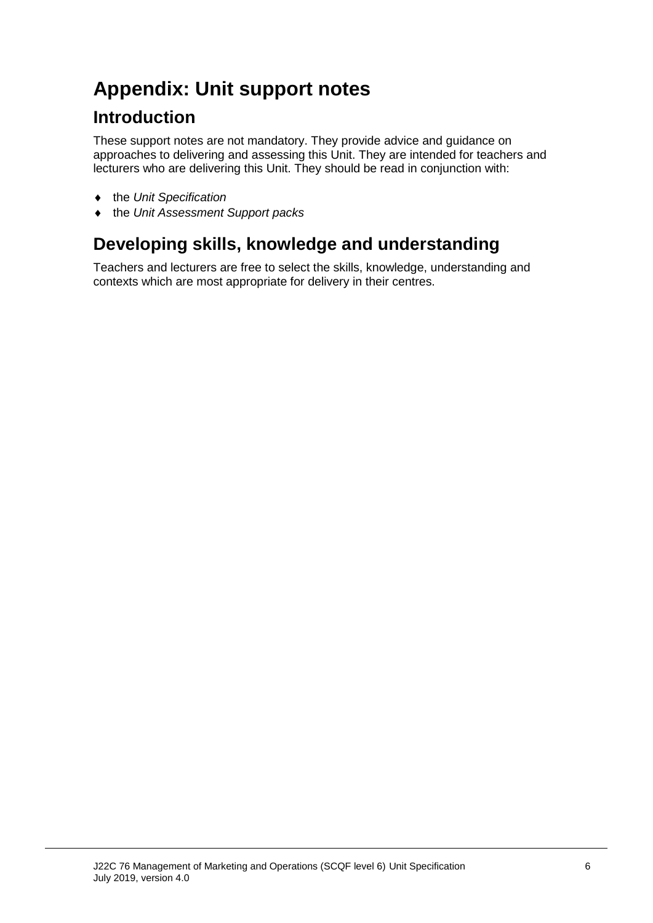# **Appendix: Unit support notes**

## **Introduction**

These support notes are not mandatory. They provide advice and guidance on approaches to delivering and assessing this Unit. They are intended for teachers and lecturers who are delivering this Unit. They should be read in conjunction with:

- ♦ the *Unit Specification*
- ♦ the *Unit Assessment Support packs*

## **Developing skills, knowledge and understanding**

Teachers and lecturers are free to select the skills, knowledge, understanding and contexts which are most appropriate for delivery in their centres.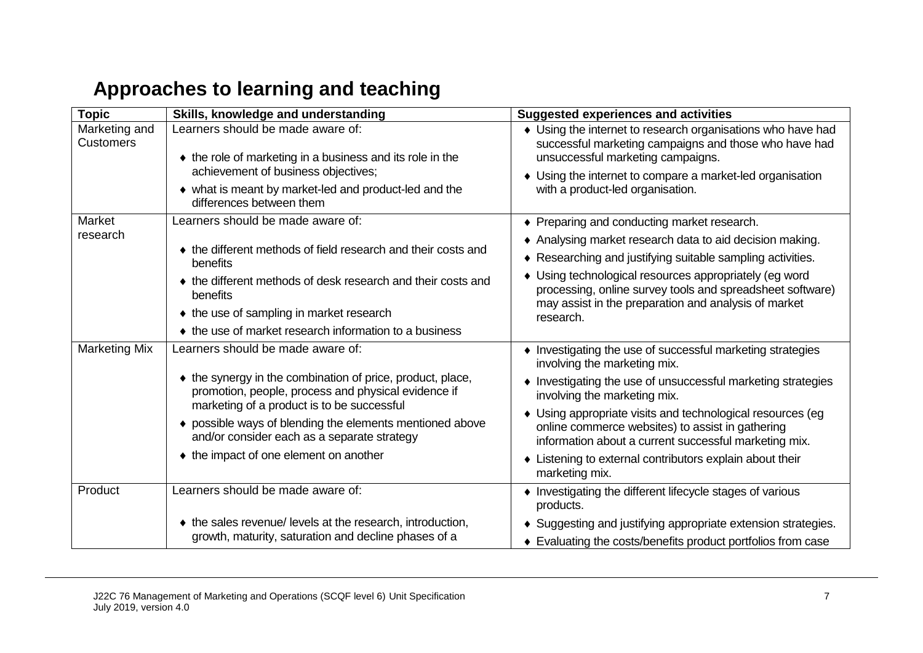# **Approaches to learning and teaching**

| <b>Topic</b>                      | Skills, knowledge and understanding                                                                                                                             | <b>Suggested experiences and activities</b>                                                                                                                               |  |
|-----------------------------------|-----------------------------------------------------------------------------------------------------------------------------------------------------------------|---------------------------------------------------------------------------------------------------------------------------------------------------------------------------|--|
| Marketing and<br><b>Customers</b> | Learners should be made aware of:<br>• the role of marketing in a business and its role in the                                                                  | • Using the internet to research organisations who have had<br>successful marketing campaigns and those who have had<br>unsuccessful marketing campaigns.                 |  |
|                                   | achievement of business objectives;<br>• what is meant by market-led and product-led and the<br>differences between them                                        | • Using the internet to compare a market-led organisation<br>with a product-led organisation.                                                                             |  |
| Market                            | Learners should be made aware of:                                                                                                                               | ◆ Preparing and conducting market research.                                                                                                                               |  |
| research                          | • the different methods of field research and their costs and                                                                                                   | • Analysing market research data to aid decision making.<br>♦ Researching and justifying suitable sampling activities.                                                    |  |
|                                   | benefits<br>• the different methods of desk research and their costs and<br>benefits                                                                            | Using technological resources appropriately (eg word<br>processing, online survey tools and spreadsheet software)<br>may assist in the preparation and analysis of market |  |
|                                   | • the use of sampling in market research                                                                                                                        | research.                                                                                                                                                                 |  |
|                                   | • the use of market research information to a business                                                                                                          |                                                                                                                                                                           |  |
| <b>Marketing Mix</b>              | Learners should be made aware of:                                                                                                                               | • Investigating the use of successful marketing strategies<br>involving the marketing mix.                                                                                |  |
|                                   | • the synergy in the combination of price, product, place,<br>promotion, people, process and physical evidence if<br>marketing of a product is to be successful | Investigating the use of unsuccessful marketing strategies<br>involving the marketing mix.                                                                                |  |
|                                   | • possible ways of blending the elements mentioned above<br>and/or consider each as a separate strategy                                                         | • Using appropriate visits and technological resources (eg<br>online commerce websites) to assist in gathering<br>information about a current successful marketing mix.   |  |
|                                   | • the impact of one element on another                                                                                                                          | • Listening to external contributors explain about their<br>marketing mix.                                                                                                |  |
| Product                           | Learners should be made aware of:                                                                                                                               | • Investigating the different lifecycle stages of various<br>products.                                                                                                    |  |
|                                   | ♦ the sales revenue/ levels at the research, introduction,<br>growth, maturity, saturation and decline phases of a                                              | • Suggesting and justifying appropriate extension strategies.<br>• Evaluating the costs/benefits product portfolios from case                                             |  |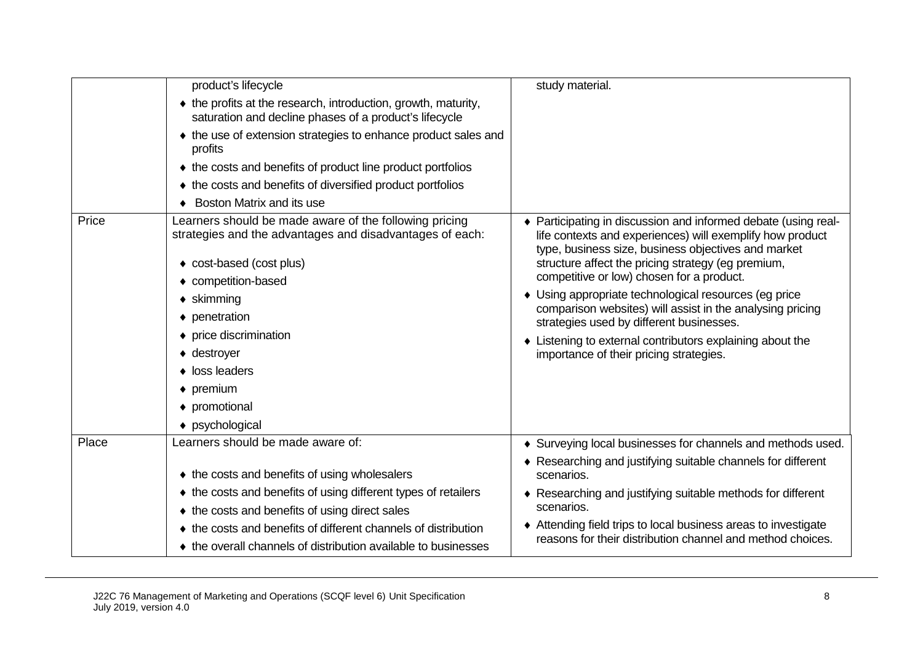|       | product's lifecycle                                                                                                      | study material.                                                                                                                                                                  |
|-------|--------------------------------------------------------------------------------------------------------------------------|----------------------------------------------------------------------------------------------------------------------------------------------------------------------------------|
|       | • the profits at the research, introduction, growth, maturity,<br>saturation and decline phases of a product's lifecycle |                                                                                                                                                                                  |
|       | ♦ the use of extension strategies to enhance product sales and<br>profits                                                |                                                                                                                                                                                  |
|       | ♦ the costs and benefits of product line product portfolios                                                              |                                                                                                                                                                                  |
|       | ♦ the costs and benefits of diversified product portfolios                                                               |                                                                                                                                                                                  |
|       | ♦ Boston Matrix and its use                                                                                              |                                                                                                                                                                                  |
| Price | Learners should be made aware of the following pricing<br>strategies and the advantages and disadvantages of each:       | Participating in discussion and informed debate (using real-<br>life contexts and experiences) will exemplify how product<br>type, business size, business objectives and market |
|       | ◆ cost-based (cost plus)                                                                                                 | structure affect the pricing strategy (eg premium,                                                                                                                               |
|       | • competition-based                                                                                                      | competitive or low) chosen for a product.                                                                                                                                        |
|       | $\bullet$ skimming                                                                                                       | • Using appropriate technological resources (eg price<br>comparison websites) will assist in the analysing pricing                                                               |
|       | • penetration                                                                                                            | strategies used by different businesses.                                                                                                                                         |
|       | • price discrimination                                                                                                   | • Listening to external contributors explaining about the                                                                                                                        |
|       | $\bullet$ destroyer                                                                                                      | importance of their pricing strategies.                                                                                                                                          |
|       | $\bullet$ loss leaders                                                                                                   |                                                                                                                                                                                  |
|       | $\bullet$ premium                                                                                                        |                                                                                                                                                                                  |
|       | • promotional                                                                                                            |                                                                                                                                                                                  |
|       | ◆ psychological                                                                                                          |                                                                                                                                                                                  |
| Place | Learners should be made aware of:                                                                                        | • Surveying local businesses for channels and methods used.                                                                                                                      |
|       | ♦ the costs and benefits of using wholesalers                                                                            | ♦ Researching and justifying suitable channels for different<br>scenarios.                                                                                                       |
|       | ♦ the costs and benefits of using different types of retailers                                                           | ♦ Researching and justifying suitable methods for different                                                                                                                      |
|       | ♦ the costs and benefits of using direct sales                                                                           | scenarios.                                                                                                                                                                       |
|       | ♦ the costs and benefits of different channels of distribution                                                           | ♦ Attending field trips to local business areas to investigate<br>reasons for their distribution channel and method choices.                                                     |
|       | ♦ the overall channels of distribution available to businesses                                                           |                                                                                                                                                                                  |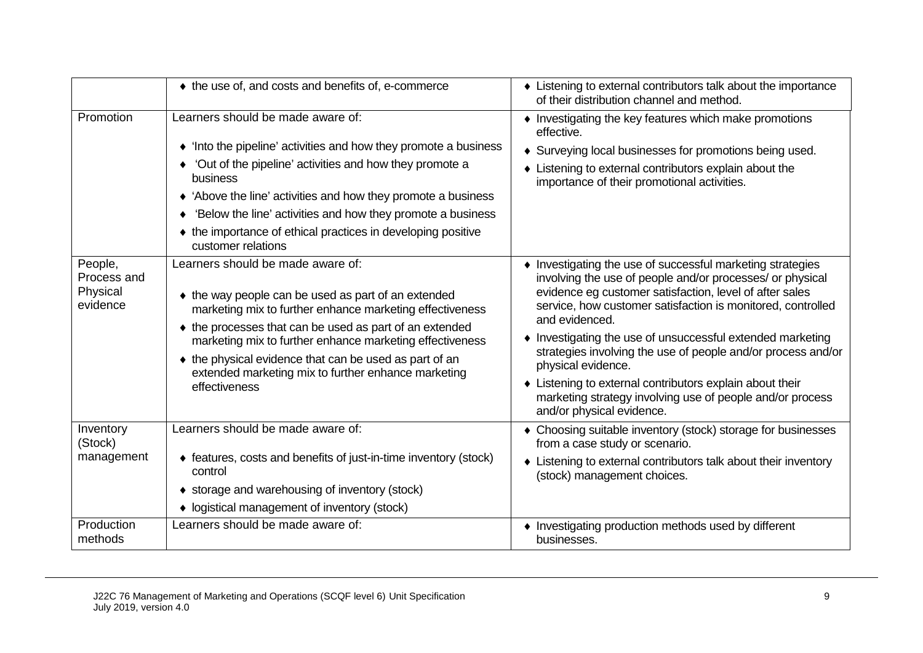|                                                | ♦ the use of, and costs and benefits of, e-commerce                                                                                                                                                                                                                                                                                                                                                           | • Listening to external contributors talk about the importance<br>of their distribution channel and method.                                                                                                                                                                                                                                                                                                                                                                                                                                                                 |
|------------------------------------------------|---------------------------------------------------------------------------------------------------------------------------------------------------------------------------------------------------------------------------------------------------------------------------------------------------------------------------------------------------------------------------------------------------------------|-----------------------------------------------------------------------------------------------------------------------------------------------------------------------------------------------------------------------------------------------------------------------------------------------------------------------------------------------------------------------------------------------------------------------------------------------------------------------------------------------------------------------------------------------------------------------------|
| Promotion                                      | Learners should be made aware of:                                                                                                                                                                                                                                                                                                                                                                             | • Investigating the key features which make promotions<br>effective.                                                                                                                                                                                                                                                                                                                                                                                                                                                                                                        |
|                                                | • 'Into the pipeline' activities and how they promote a business                                                                                                                                                                                                                                                                                                                                              | • Surveying local businesses for promotions being used.                                                                                                                                                                                                                                                                                                                                                                                                                                                                                                                     |
|                                                | 'Out of the pipeline' activities and how they promote a<br>business                                                                                                                                                                                                                                                                                                                                           | • Listening to external contributors explain about the<br>importance of their promotional activities.                                                                                                                                                                                                                                                                                                                                                                                                                                                                       |
|                                                | • 'Above the line' activities and how they promote a business                                                                                                                                                                                                                                                                                                                                                 |                                                                                                                                                                                                                                                                                                                                                                                                                                                                                                                                                                             |
|                                                | 'Below the line' activities and how they promote a business                                                                                                                                                                                                                                                                                                                                                   |                                                                                                                                                                                                                                                                                                                                                                                                                                                                                                                                                                             |
|                                                | ♦ the importance of ethical practices in developing positive<br>customer relations                                                                                                                                                                                                                                                                                                                            |                                                                                                                                                                                                                                                                                                                                                                                                                                                                                                                                                                             |
| People,<br>Process and<br>Physical<br>evidence | Learners should be made aware of:<br>• the way people can be used as part of an extended<br>marketing mix to further enhance marketing effectiveness<br>♦ the processes that can be used as part of an extended<br>marketing mix to further enhance marketing effectiveness<br>• the physical evidence that can be used as part of an<br>extended marketing mix to further enhance marketing<br>effectiveness | • Investigating the use of successful marketing strategies<br>involving the use of people and/or processes/ or physical<br>evidence eg customer satisfaction, level of after sales<br>service, how customer satisfaction is monitored, controlled<br>and evidenced.<br>Investigating the use of unsuccessful extended marketing<br>strategies involving the use of people and/or process and/or<br>physical evidence.<br>• Listening to external contributors explain about their<br>marketing strategy involving use of people and/or process<br>and/or physical evidence. |
| Inventory<br>(Stock)                           | Learners should be made aware of:                                                                                                                                                                                                                                                                                                                                                                             | • Choosing suitable inventory (stock) storage for businesses<br>from a case study or scenario.                                                                                                                                                                                                                                                                                                                                                                                                                                                                              |
| management                                     | ♦ features, costs and benefits of just-in-time inventory (stock)<br>control                                                                                                                                                                                                                                                                                                                                   | • Listening to external contributors talk about their inventory<br>(stock) management choices.                                                                                                                                                                                                                                                                                                                                                                                                                                                                              |
|                                                | ♦ storage and warehousing of inventory (stock)                                                                                                                                                                                                                                                                                                                                                                |                                                                                                                                                                                                                                                                                                                                                                                                                                                                                                                                                                             |
|                                                | • logistical management of inventory (stock)                                                                                                                                                                                                                                                                                                                                                                  |                                                                                                                                                                                                                                                                                                                                                                                                                                                                                                                                                                             |
| Production<br>methods                          | Learners should be made aware of:                                                                                                                                                                                                                                                                                                                                                                             | • Investigating production methods used by different<br>businesses.                                                                                                                                                                                                                                                                                                                                                                                                                                                                                                         |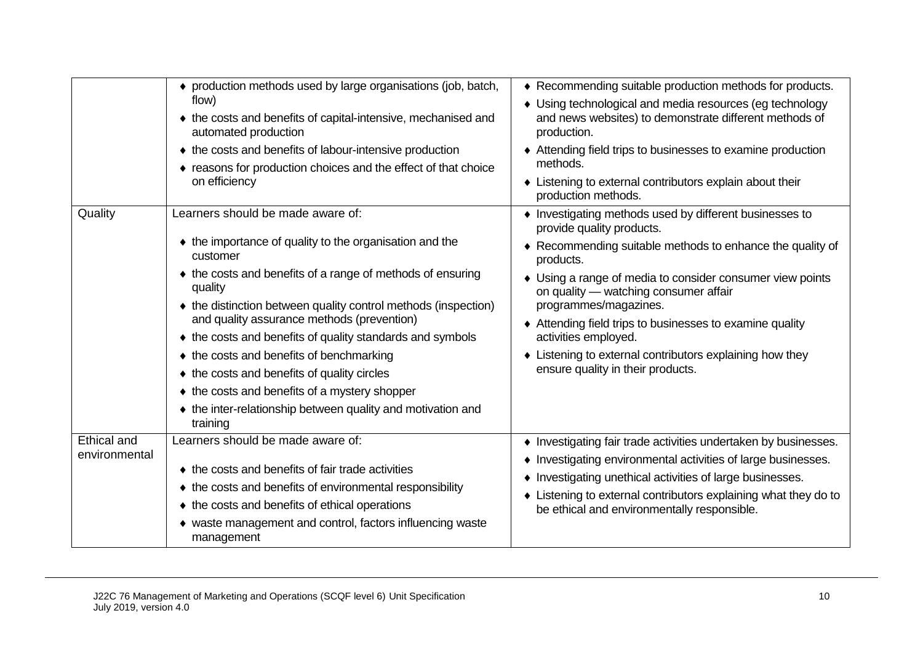|                                     | • production methods used by large organisations (job, batch,<br>flow)<br>• the costs and benefits of capital-intensive, mechanised and<br>automated production<br>♦ the costs and benefits of labour-intensive production<br>• reasons for production choices and the effect of that choice<br>on efficiency                                                                                                                                                                                                                                                                         | ♦ Recommending suitable production methods for products.<br>• Using technological and media resources (eg technology<br>and news websites) to demonstrate different methods of<br>production.<br>♦ Attending field trips to businesses to examine production<br>methods.<br>• Listening to external contributors explain about their<br>production methods.                                                                                                                        |
|-------------------------------------|---------------------------------------------------------------------------------------------------------------------------------------------------------------------------------------------------------------------------------------------------------------------------------------------------------------------------------------------------------------------------------------------------------------------------------------------------------------------------------------------------------------------------------------------------------------------------------------|------------------------------------------------------------------------------------------------------------------------------------------------------------------------------------------------------------------------------------------------------------------------------------------------------------------------------------------------------------------------------------------------------------------------------------------------------------------------------------|
| Quality                             | Learners should be made aware of:<br>• the importance of quality to the organisation and the<br>customer<br>• the costs and benefits of a range of methods of ensuring<br>quality<br>• the distinction between quality control methods (inspection)<br>and quality assurance methods (prevention)<br>♦ the costs and benefits of quality standards and symbols<br>♦ the costs and benefits of benchmarking<br>♦ the costs and benefits of quality circles<br>♦ the costs and benefits of a mystery shopper<br>• the inter-relationship between quality and motivation and<br>training | • Investigating methods used by different businesses to<br>provide quality products.<br>♦ Recommending suitable methods to enhance the quality of<br>products.<br>• Using a range of media to consider consumer view points<br>on quality — watching consumer affair<br>programmes/magazines.<br>♦ Attending field trips to businesses to examine quality<br>activities employed.<br>• Listening to external contributors explaining how they<br>ensure quality in their products. |
| <b>Ethical and</b><br>environmental | Learners should be made aware of:<br>♦ the costs and benefits of fair trade activities<br>• the costs and benefits of environmental responsibility<br>♦ the costs and benefits of ethical operations<br>• waste management and control, factors influencing waste<br>management                                                                                                                                                                                                                                                                                                       | • Investigating fair trade activities undertaken by businesses.<br>• Investigating environmental activities of large businesses.<br>• Investigating unethical activities of large businesses.<br>Listening to external contributors explaining what they do to<br>be ethical and environmentally responsible.                                                                                                                                                                      |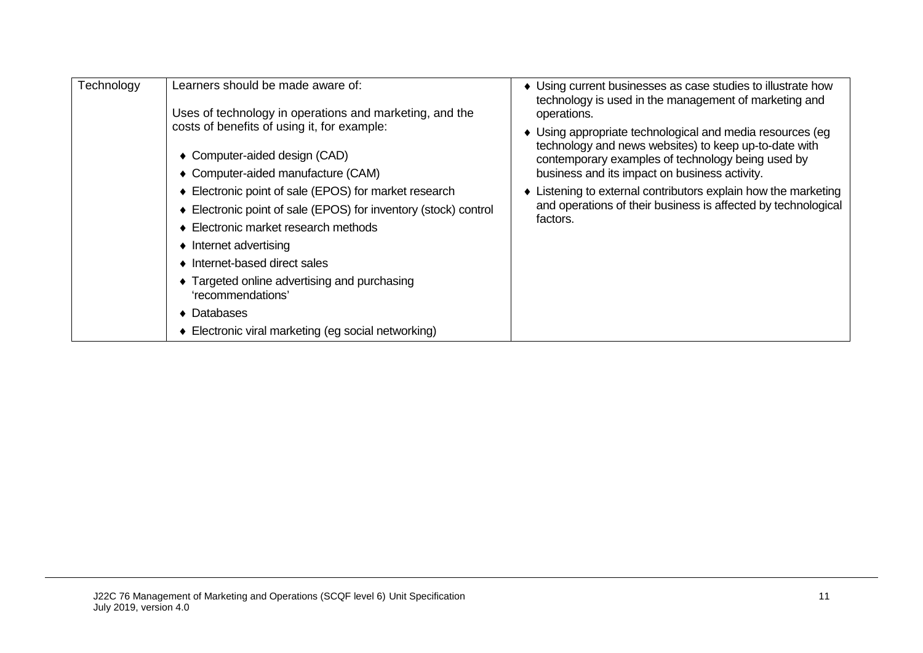| Technology | Learners should be made aware of:<br>Uses of technology in operations and marketing, and the                                                                                                                                                                                                                                                                                                                                                                                                                             | • Using current businesses as case studies to illustrate how<br>technology is used in the management of marketing and<br>operations.                                                                                                                                                                                                                                |
|------------|--------------------------------------------------------------------------------------------------------------------------------------------------------------------------------------------------------------------------------------------------------------------------------------------------------------------------------------------------------------------------------------------------------------------------------------------------------------------------------------------------------------------------|---------------------------------------------------------------------------------------------------------------------------------------------------------------------------------------------------------------------------------------------------------------------------------------------------------------------------------------------------------------------|
|            | costs of benefits of using it, for example:<br>• Computer-aided design (CAD)<br>• Computer-aided manufacture (CAM)<br>♦ Electronic point of sale (EPOS) for market research<br>♦ Electronic point of sale (EPOS) for inventory (stock) control<br>♦ Electronic market research methods<br>$\bullet$ Internet advertising<br>• Internet-based direct sales<br>• Targeted online advertising and purchasing<br>'recommendations'<br>$\blacktriangleright$ Databases<br>• Electronic viral marketing (eg social networking) | Using appropriate technological and media resources (eg<br>technology and news websites) to keep up-to-date with<br>contemporary examples of technology being used by<br>business and its impact on business activity.<br>Listening to external contributors explain how the marketing<br>and operations of their business is affected by technological<br>factors. |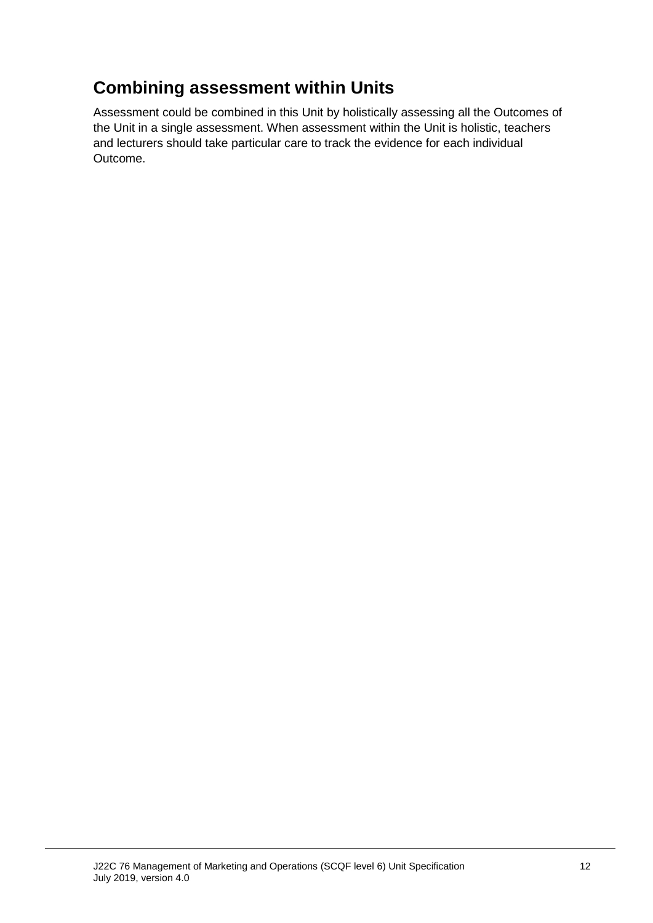## **Combining assessment within Units**

Assessment could be combined in this Unit by holistically assessing all the Outcomes of the Unit in a single assessment. When assessment within the Unit is holistic, teachers and lecturers should take particular care to track the evidence for each individual Outcome.